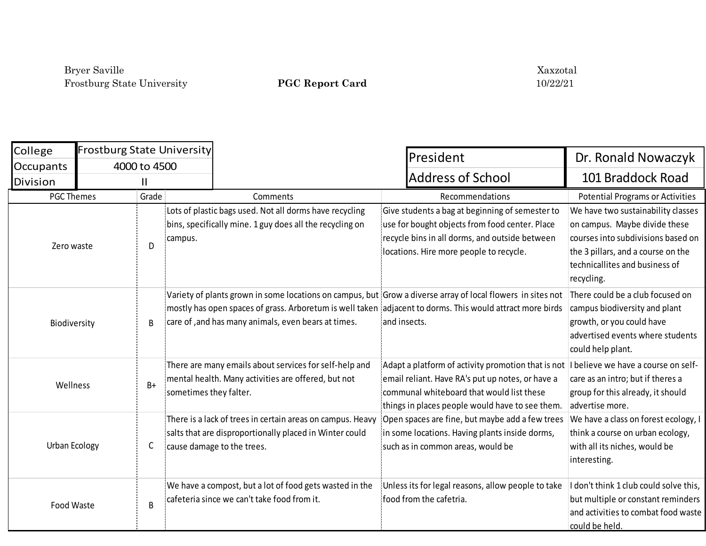| College           | <b>Frostburg State University</b> |              |                                                                                                                                                                                                                                                                                  |                                                                                                                                                                                                        |                                                                                                                                                                                                 |
|-------------------|-----------------------------------|--------------|----------------------------------------------------------------------------------------------------------------------------------------------------------------------------------------------------------------------------------------------------------------------------------|--------------------------------------------------------------------------------------------------------------------------------------------------------------------------------------------------------|-------------------------------------------------------------------------------------------------------------------------------------------------------------------------------------------------|
| <b>Occupants</b>  |                                   | 4000 to 4500 |                                                                                                                                                                                                                                                                                  | President                                                                                                                                                                                              | Dr. Ronald Nowaczyk                                                                                                                                                                             |
| Division          |                                   | Ш            |                                                                                                                                                                                                                                                                                  | <b>Address of School</b>                                                                                                                                                                               | 101 Braddock Road                                                                                                                                                                               |
| <b>PGC Themes</b> |                                   | Grade        | Comments                                                                                                                                                                                                                                                                         | Recommendations                                                                                                                                                                                        | <b>Potential Programs or Activities</b>                                                                                                                                                         |
| Zero waste        |                                   | D            | Lots of plastic bags used. Not all dorms have recycling<br>bins, specifically mine. 1 guy does all the recycling on<br>campus.                                                                                                                                                   | Give students a bag at beginning of semester to<br>use for bought objects from food center. Place {<br>recycle bins in all dorms, and outside between<br>locations. Hire more people to recycle.       | We have two sustainability classes<br>on campus. Maybe divide these<br>courses into subdivisions based on<br>the 3 pillars, and a course on the<br>technicallites and business of<br>recycling. |
| Biodiversity      |                                   | B            | Variety of plants grown in some locations on campus, but Grow a diverse array of local flowers in sites not<br>mostly has open spaces of grass. Arboretum is well taken adjacent to dorms. This would attract more birds<br>care of , and has many animals, even bears at times. | and insects.                                                                                                                                                                                           | There could be a club focused on<br>campus biodiversity and plant<br>growth, or you could have<br>advertised events where students<br>could help plant.                                         |
| Wellness          |                                   | $B+$         | There are many emails about services for self-help and<br>mental health. Many activities are offered, but not<br>sometimes they falter.                                                                                                                                          | Adapt a platform of activity promotion that is not<br>email reliant. Have RA's put up notes, or have a<br>communal whiteboard that would list these<br>things in places people would have to see them. | I believe we have a course on self-<br>care as an intro; but if theres a<br>group for this already, it should<br>advertise more.                                                                |
| Urban Ecology     |                                   | C            | There is a lack of trees in certain areas on campus. Heavy<br>salts that are disproportionally placed in Winter could<br>cause damage to the trees.                                                                                                                              | Open spaces are fine, but maybe add a few trees<br>in some locations. Having plants inside dorms,<br>such as in common areas, would be                                                                 | We have a class on forest ecology, I<br>think a course on urban ecology,<br>with all its niches, would be<br>interesting.                                                                       |
| Food Waste        |                                   | B            | We have a compost, but a lot of food gets wasted in the<br>cafeteria since we can't take food from it.                                                                                                                                                                           | Unless its for legal reasons, allow people to take<br>food from the cafetria.                                                                                                                          | I don't think 1 club could solve this,<br>but multiple or constant reminders<br>and activities to combat food waste<br>could be held.                                                           |